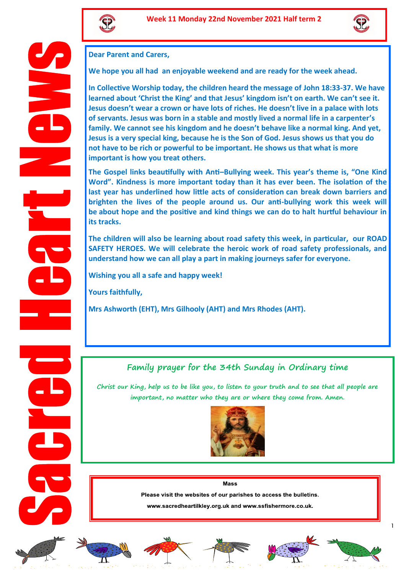



**Dear Parent and Carers,** 

**We hope you all had an enjoyable weekend and are ready for the week ahead.**

**In Collective Worship today, the children heard the message of John 18:33-37. We have learned about 'Christ the King' and that Jesus' kingdom isn't on earth. We can't see it. Jesus doesn't wear a crown or have lots of riches. He doesn't live in a palace with lots of servants. Jesus was born in a stable and mostly lived a normal life in a carpenter's family. We cannot see his kingdom and he doesn't behave like a normal king. And yet, Jesus is a very special king, because he is the Son of God. Jesus shows us that you do not have to be rich or powerful to be important. He shows us that what is more important is how you treat others.** 

**The Gospel links beautifully with Anti–Bullying week. This year's theme is, "One Kind Word". Kindness is more important today than it has ever been. The isolation of the last year has underlined how little acts of consideration can break down barriers and brighten the lives of the people around us. Our anti-bullying work this week will be about hope and the positive and kind things we can do to halt hurtful behaviour in its tracks.** 

**The children will also be learning about road safety this week, in particular, our ROAD SAFETY HEROES. We will celebrate the heroic work of road safety professionals, and understand how we can all play a part in making journeys safer for everyone.** 

**Wishing you all a safe and happy week!** 

**Yours faithfully,**

**Mrs Ashworth (EHT), Mrs Gilhooly (AHT) and Mrs Rhodes (AHT).** 

## **Family prayer for the 34th Sunday in Ordinary time**

**Christ our King, help us to be like you, to listen to your truth and to see that all people are important, no matter who they are or where they come from. Amen.** 



#### Mass

Please visit the websites of our parishes to access the bulletins.

www.sacredheartilkley.org.uk and www.ssfishermore.co.uk.













1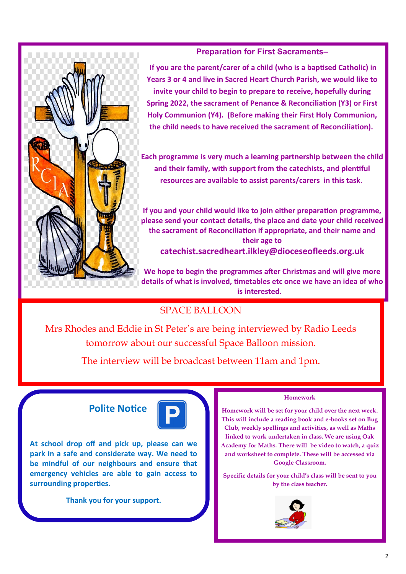### **Preparation for First Sacraments–**

**If you are the parent/carer of a child (who is a baptised Catholic) in Years 3 or 4 and live in Sacred Heart Church Parish, we would like to invite your child to begin to prepare to receive, hopefully during Spring 2022, the sacrament of Penance & Reconciliation (Y3) or First Holy Communion (Y4). (Before making their First Holy Communion, the child needs to have received the sacrament of Reconciliation).**

**Each programme is very much a learning partnership between the child and their family, with support from the catechists, and plentiful resources are available to assist parents/carers in this task.**

**If you and your child would like to join either preparation programme, please send your contact details, the place and date your child received the sacrament of Reconciliation if appropriate, and their name and their age to catechist.sacredheart.ilkley@dioceseofleeds.org.uk**

**We hope to begin the programmes after Christmas and will give more details of what is involved, timetables etc once we have an idea of who is interested.** 

# SPACE BALLOON

Mrs Rhodes and Eddie in St Peter's are being interviewed by Radio Leeds tomorrow about our successful Space Balloon mission.

The interview will be broadcast between 11am and 1pm.

## **Polite Notice**



**At school drop off and pick up, please can we park in a safe and considerate way. We need to be mindful of our neighbours and ensure that emergency vehicles are able to gain access to surrounding properties.** 

**Thank you for your support.** 

#### **Homework**

**Homework will be set for your child over the next week. This will include a reading book and e-books set on Bug Club, weekly spellings and activities, as well as Maths linked to work undertaken in class. We are using Oak Academy for Maths. There will be video to watch, a quiz and worksheet to complete. These will be accessed via Google Classroom.**

**Specific details for your child's class will be sent to you by the class teacher.**